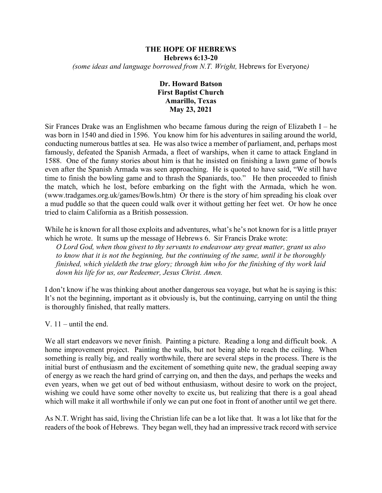#### **THE HOPE OF HEBREWS Hebrews 6:13-20** *(some ideas and language borrowed from N.T. Wright,* Hebrews for Everyone*)*

# **Dr. Howard Batson First Baptist Church Amarillo, Texas May 23, 2021**

Sir Frances Drake was an Englishmen who became famous during the reign of Elizabeth I – he was born in 1540 and died in 1596. You know him for his adventures in sailing around the world, conducting numerous battles at sea. He was also twice a member of parliament, and, perhaps most famously, defeated the Spanish Armada, a fleet of warships, when it came to attack England in 1588. One of the funny stories about him is that he insisted on finishing a lawn game of bowls even after the Spanish Armada was seen approaching. He is quoted to have said, "We still have time to finish the bowling game and to thrash the Spaniards, too." He then proceeded to finish the match, which he lost, before embarking on the fight with the Armada, which he won. (www.tradgames.org.uk/games/Bowls.htm) Or there is the story of him spreading his cloak over a mud puddle so that the queen could walk over it without getting her feet wet. Or how he once tried to claim California as a British possession.

While he is known for all those exploits and adventures, what's he's not known for is a little prayer which he wrote. It sums up the message of Hebrews 6. Sir Francis Drake wrote:

*O Lord God, when thou givest to thy servants to endeavour any great matter, grant us also to know that it is not the beginning, but the continuing of the same, until it be thoroughly finished, which yieldeth the true glory; through him who for the finishing of thy work laid down his life for us, our Redeemer, Jesus Christ. Amen.*

I don't know if he was thinking about another dangerous sea voyage, but what he is saying is this: It's not the beginning, important as it obviously is, but the continuing, carrying on until the thing is thoroughly finished, that really matters.

V.  $11$  – until the end.

We all start endeavors we never finish. Painting a picture. Reading a long and difficult book. A home improvement project. Painting the walls, but not being able to reach the ceiling. When something is really big, and really worthwhile, there are several steps in the process. There is the initial burst of enthusiasm and the excitement of something quite new, the gradual seeping away of energy as we reach the hard grind of carrying on, and then the days, and perhaps the weeks and even years, when we get out of bed without enthusiasm, without desire to work on the project, wishing we could have some other novelty to excite us, but realizing that there is a goal ahead which will make it all worthwhile if only we can put one foot in front of another until we get there.

As N.T. Wright has said, living the Christian life can be a lot like that. It was a lot like that for the readers of the book of Hebrews. They began well, they had an impressive track record with service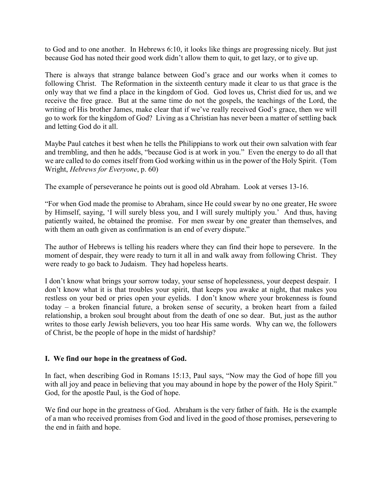to God and to one another. In Hebrews 6:10, it looks like things are progressing nicely. But just because God has noted their good work didn't allow them to quit, to get lazy, or to give up.

There is always that strange balance between God's grace and our works when it comes to following Christ. The Reformation in the sixteenth century made it clear to us that grace is the only way that we find a place in the kingdom of God. God loves us, Christ died for us, and we receive the free grace. But at the same time do not the gospels, the teachings of the Lord, the writing of His brother James, make clear that if we've really received God's grace, then we will go to work for the kingdom of God? Living as a Christian has never been a matter of settling back and letting God do it all.

Maybe Paul catches it best when he tells the Philippians to work out their own salvation with fear and trembling, and then he adds, "because God is at work in you." Even the energy to do all that we are called to do comes itself from God working within us in the power of the Holy Spirit. (Tom Wright, *Hebrews for Everyone*, p. 60)

The example of perseverance he points out is good old Abraham. Look at verses 13-16.

"For when God made the promise to Abraham, since He could swear by no one greater, He swore by Himself, saying, 'I will surely bless you, and I will surely multiply you.' And thus, having patiently waited, he obtained the promise. For men swear by one greater than themselves, and with them an oath given as confirmation is an end of every dispute."

The author of Hebrews is telling his readers where they can find their hope to persevere. In the moment of despair, they were ready to turn it all in and walk away from following Christ. They were ready to go back to Judaism. They had hopeless hearts.

I don't know what brings your sorrow today, your sense of hopelessness, your deepest despair. I don't know what it is that troubles your spirit, that keeps you awake at night, that makes you restless on your bed or pries open your eyelids. I don't know where your brokenness is found today – a broken financial future, a broken sense of security, a broken heart from a failed relationship, a broken soul brought about from the death of one so dear. But, just as the author writes to those early Jewish believers, you too hear His same words. Why can we, the followers of Christ, be the people of hope in the midst of hardship?

# **I. We find our hope in the greatness of God.**

In fact, when describing God in Romans 15:13, Paul says, "Now may the God of hope fill you with all joy and peace in believing that you may abound in hope by the power of the Holy Spirit." God, for the apostle Paul, is the God of hope.

We find our hope in the greatness of God. Abraham is the very father of faith. He is the example of a man who received promises from God and lived in the good of those promises, persevering to the end in faith and hope.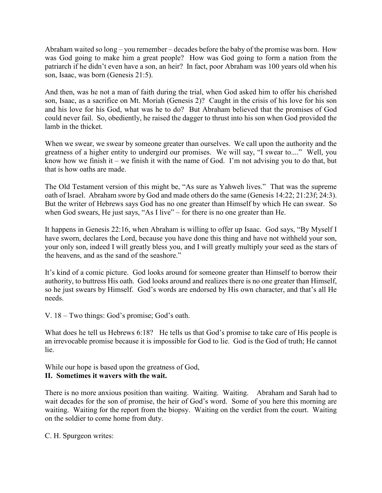Abraham waited so long – you remember – decades before the baby of the promise was born. How was God going to make him a great people? How was God going to form a nation from the patriarch if he didn't even have a son, an heir? In fact, poor Abraham was 100 years old when his son, Isaac, was born (Genesis 21:5).

And then, was he not a man of faith during the trial, when God asked him to offer his cherished son, Isaac, as a sacrifice on Mt. Moriah (Genesis 2)? Caught in the crisis of his love for his son and his love for his God, what was he to do? But Abraham believed that the promises of God could never fail. So, obediently, he raised the dagger to thrust into his son when God provided the lamb in the thicket.

When we swear, we swear by someone greater than ourselves. We call upon the authority and the greatness of a higher entity to undergird our promises. We will say, "I swear to...." Well, you know how we finish it – we finish it with the name of God. I'm not advising you to do that, but that is how oaths are made.

The Old Testament version of this might be, "As sure as Yahweh lives." That was the supreme oath of Israel. Abraham swore by God and made others do the same (Genesis 14:22; 21:23f; 24:3). But the writer of Hebrews says God has no one greater than Himself by which He can swear. So when God swears, He just says, "As I live" – for there is no one greater than He.

It happens in Genesis 22:16, when Abraham is willing to offer up Isaac. God says, "By Myself I have sworn, declares the Lord, because you have done this thing and have not withheld your son, your only son, indeed I will greatly bless you, and I will greatly multiply your seed as the stars of the heavens, and as the sand of the seashore."

It's kind of a comic picture. God looks around for someone greater than Himself to borrow their authority, to buttress His oath. God looks around and realizes there is no one greater than Himself, so he just swears by Himself. God's words are endorsed by His own character, and that's all He needs.

V. 18 – Two things: God's promise; God's oath.

What does he tell us Hebrews 6:18? He tells us that God's promise to take care of His people is an irrevocable promise because it is impossible for God to lie. God is the God of truth; He cannot lie.

While our hope is based upon the greatness of God,

# **II. Sometimes it wavers with the wait.**

There is no more anxious position than waiting. Waiting. Waiting. Abraham and Sarah had to wait decades for the son of promise, the heir of God's word. Some of you here this morning are waiting. Waiting for the report from the biopsy. Waiting on the verdict from the court. Waiting on the soldier to come home from duty.

C. H. Spurgeon writes: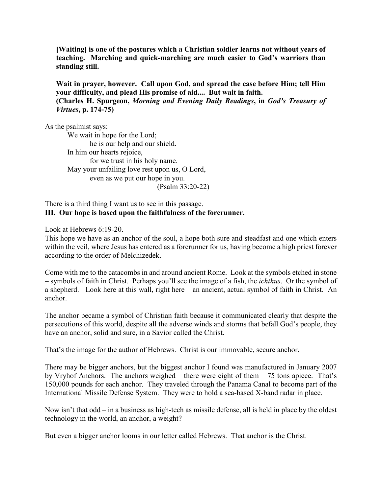**[Waiting] is one of the postures which a Christian soldier learns not without years of teaching. Marching and quick-marching are much easier to God's warriors than standing still.** 

**Wait in prayer, however. Call upon God, and spread the case before Him; tell Him your difficulty, and plead His promise of aid.... But wait in faith. (Charles H. Spurgeon,** *Morning and Evening Daily Readings***, in** *God's Treasury of Virtues***, p. 174-75)**

As the psalmist says:

We wait in hope for the Lord; he is our help and our shield. In him our hearts rejoice, for we trust in his holy name. May your unfailing love rest upon us, O Lord, even as we put our hope in you. (Psalm 33:20-22)

## There is a third thing I want us to see in this passage. **III. Our hope is based upon the faithfulness of the forerunner.**

Look at Hebrews 6:19-20.

This hope we have as an anchor of the soul, a hope both sure and steadfast and one which enters within the veil, where Jesus has entered as a forerunner for us, having become a high priest forever according to the order of Melchizedek.

Come with me to the catacombs in and around ancient Rome. Look at the symbols etched in stone – symbols of faith in Christ. Perhaps you'll see the image of a fish, the *ichthus*. Or the symbol of a shepherd. Look here at this wall, right here – an ancient, actual symbol of faith in Christ. An anchor.

The anchor became a symbol of Christian faith because it communicated clearly that despite the persecutions of this world, despite all the adverse winds and storms that befall God's people, they have an anchor, solid and sure, in a Savior called the Christ.

That's the image for the author of Hebrews. Christ is our immovable, secure anchor.

There may be bigger anchors, but the biggest anchor I found was manufactured in January 2007 by Vryhof Anchors. The anchors weighed – there were eight of them – 75 tons apiece. That's 150,000 pounds for each anchor. They traveled through the Panama Canal to become part of the International Missile Defense System. They were to hold a sea-based X-band radar in place.

Now isn't that odd – in a business as high-tech as missile defense, all is held in place by the oldest technology in the world, an anchor, a weight?

But even a bigger anchor looms in our letter called Hebrews. That anchor is the Christ.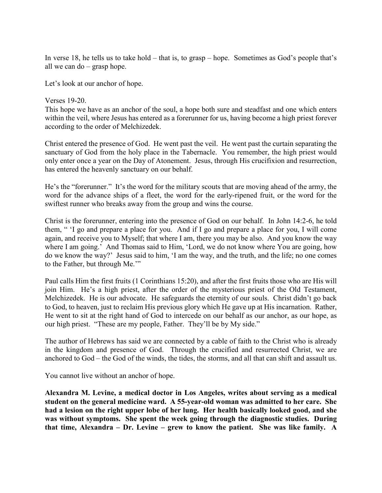In verse 18, he tells us to take hold – that is, to grasp – hope. Sometimes as God's people that's all we can do – grasp hope.

Let's look at our anchor of hope.

### Verses 19-20. This hope we have as an anchor of the soul, a hope both sure and steadfast and one which enters within the veil, where Jesus has entered as a forerunner for us, having become a high priest forever according to the order of Melchizedek.

Christ entered the presence of God. He went past the veil. He went past the curtain separating the sanctuary of God from the holy place in the Tabernacle. You remember, the high priest would only enter once a year on the Day of Atonement. Jesus, through His crucifixion and resurrection, has entered the heavenly sanctuary on our behalf.

He's the "forerunner." It's the word for the military scouts that are moving ahead of the army, the word for the advance ships of a fleet, the word for the early-ripened fruit, or the word for the swiftest runner who breaks away from the group and wins the course.

Christ is the forerunner, entering into the presence of God on our behalf. In John 14:2-6, he told them, " 'I go and prepare a place for you. And if I go and prepare a place for you, I will come again, and receive you to Myself; that where I am, there you may be also. And you know the way where I am going.' And Thomas said to Him, 'Lord, we do not know where You are going, how do we know the way?' Jesus said to him, 'I am the way, and the truth, and the life; no one comes to the Father, but through Me.'"

Paul calls Him the first fruits (1 Corinthians 15:20), and after the first fruits those who are His will join Him. He's a high priest, after the order of the mysterious priest of the Old Testament, Melchizedek. He is our advocate. He safeguards the eternity of our souls. Christ didn't go back to God, to heaven, just to reclaim His previous glory which He gave up at His incarnation. Rather, He went to sit at the right hand of God to intercede on our behalf as our anchor, as our hope, as our high priest. "These are my people, Father. They'll be by My side."

The author of Hebrews has said we are connected by a cable of faith to the Christ who is already in the kingdom and presence of God. Through the crucified and resurrected Christ, we are anchored to God – the God of the winds, the tides, the storms, and all that can shift and assault us.

You cannot live without an anchor of hope.

**Alexandra M. Levine, a medical doctor in Los Angeles, writes about serving as a medical student on the general medicine ward. A 55-year-old woman was admitted to her care. She had a lesion on the right upper lobe of her lung. Her health basically looked good, and she was without symptoms. She spent the week going through the diagnostic studies. During that time, Alexandra – Dr. Levine – grew to know the patient. She was like family. A**